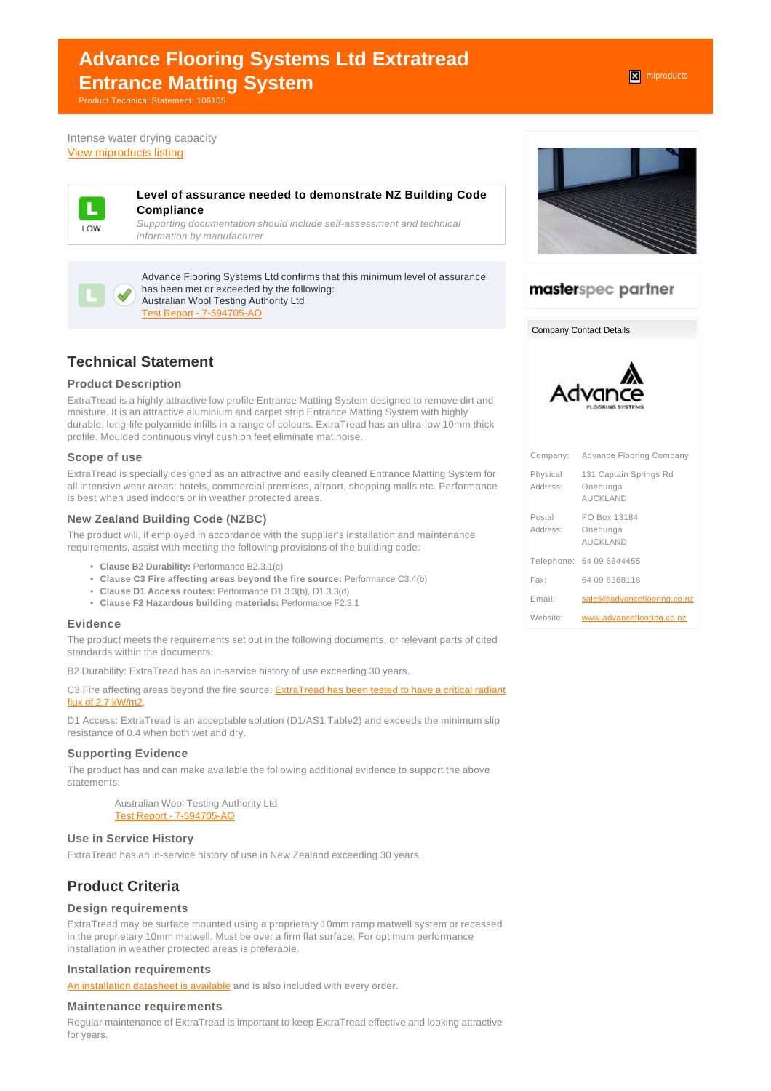# **Advance Flooring Systems Ltd Extratread Entrance Matting System**

Product Technical Statement: 106105

Intense water drying capacity [View miproducts listing](https://www.miproducts.co.nz/Search/0/0/Advance-Flooring-Systems-Ltd-Extratread-Entrance-Matting-System-i21530328-321a-44ed-9815-0430045eef98-6400.htm)



### **Level of assurance needed to demonstrate NZ Building Code Compliance**

Supporting documentation should include self-assessment and technical information by manufacturer



Advance Flooring Systems Ltd confirms that this minimum level of assurance has been met or exceeded by the following: Australian Wool Testing Authority Ltd [Test Report - 7-594705-AO](websupergoo:/link-16634.htm)

# **Technical Statement**

## **Product Description**

ExtraTread is a highly attractive low profile Entrance Matting System designed to remove dirt and moisture. It is an attractive aluminium and carpet strip Entrance Matting System with highly durable, long-life polyamide infills in a range of colours. ExtraTread has an ultra-low 10mm thick profile. Moulded continuous vinyl cushion feet eliminate mat noise.

### **Scope of use**

ExtraTread is specially designed as an attractive and easily cleaned Entrance Matting System for all intensive wear areas: hotels, commercial premises, airport, shopping malls etc. Performance is best when used indoors or in weather protected areas.

### **New Zealand Building Code (NZBC)**

The product will, if employed in accordance with the supplier's installation and maintenance requirements, assist with meeting the following provisions of the building code:

- **Clause B2 Durability:** Performance B2.3.1(c)
- **Clause C3 Fire affecting areas beyond the fire source:** Performance C3.4(b)
- **Clause D1 Access routes:** Performance D1.3.3(b), D1.3.3(d)
- **Clause F2 Hazardous building materials:** Performance F2.3.1

## **Evidence**

The product meets the requirements set out in the following documents, or relevant parts of cited standards within the documents:

B2 Durability: ExtraTread has an in-service history of use exceeding 30 years.

C3 Fire affecting areas beyond the fire source: [ExtraTread has been tested to have a critical radiant](http://www.advanceflooringsystems.com/wp-content/uploads/ExtraTread-Fire-Certificate.pdf) [flux of 2.7 kW/m2](http://www.advanceflooringsystems.com/wp-content/uploads/ExtraTread-Fire-Certificate.pdf).

D1 Access: ExtraTread is an acceptable solution (D1/AS1 Table2) and exceeds the minimum slip resistance of 0.4 when both wet and dry.

### **Supporting Evidence**

The product has and can make available the following additional evidence to support the above statements:

> Australian Wool Testing Authority Ltd [Test Report - 7-594705-AO](websupergoo:/link-16634.htm)

### **Use in Service History**

ExtraTread has an in-service history of use in New Zealand exceeding 30 years.

# **Product Criteria**

## **Design requirements**

ExtraTread may be surface mounted using a proprietary 10mm ramp matwell system or recessed in the proprietary 10mm matwell. Must be over a firm flat surface. For optimum performance installation in weather protected areas is preferable.

### **Installation requirements**

[An installation datasheet is available](http://www.advanceflooringsystems.com/wp-content/uploads/Installation-ExtraTread.pdf) and is also included with every order.

### **Maintenance requirements**

Regular maintenance of ExtraTread is important to keep ExtraTread effective and looking attractive for years.



# masterspec partner

Company Contact Details



| Company:             | <b>Advance Flooring Company</b>                       |
|----------------------|-------------------------------------------------------|
| Physical<br>Address: | 131 Captain Springs Rd<br>Onehunga<br><b>AUCKLAND</b> |
| Postal<br>Address:   | PO Box 13184<br>Onehunga<br><b>AUCKLAND</b>           |
|                      | Telephone: 64 09 6344455                              |
| Fax:                 | 64 09 6368118                                         |
| Fmail:               | sales@advanceflooring.co.nz                           |
| Website:             | www.advanceflooring.co.nz                             |